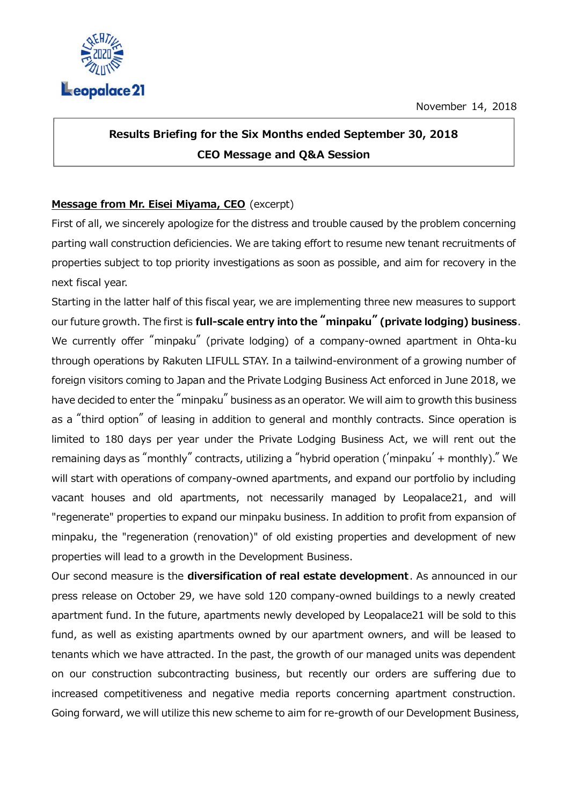

## Results Briefing for the Six Months ended September 30, 2018 CEO Message and Q&A Session

## Message from Mr. Eisei Miyama, CEO (excerpt)

First of all, we sincerely apologize for the distress and trouble caused by the problem concerning parting wall construction deficiencies. We are taking effort to resume new tenant recruitments of properties subject to top priority investigations as soon as possible, and aim for recovery in the next fiscal year.

Starting in the latter half of this fiscal year, we are implementing three new measures to support our future growth. The first is full-scale entry into the "minpaku" (private lodging) business. We currently offer "minpaku" (private lodging) of a company-owned apartment in Ohta-ku through operations by Rakuten LIFULL STAY. In a tailwind-environment of a growing number of foreign visitors coming to Japan and the Private Lodging Business Act enforced in June 2018, we have decided to enter the "minpaku" business as an operator. We will aim to growth this business as a "third option" of leasing in addition to general and monthly contracts. Since operation is limited to 180 days per year under the Private Lodging Business Act, we will rent out the remaining days as "monthly" contracts, utilizing a "hybrid operation ('minpaku' + monthly)." We will start with operations of company-owned apartments, and expand our portfolio by including vacant houses and old apartments, not necessarily managed by Leopalace21, and will "regenerate" properties to expand our minpaku business. In addition to profit from expansion of minpaku, the "regeneration (renovation)" of old existing properties and development of new properties will lead to a growth in the Development Business.

Our second measure is the diversification of real estate development. As announced in our press release on October 29, we have sold 120 company-owned buildings to a newly created apartment fund. In the future, apartments newly developed by Leopalace21 will be sold to this fund, as well as existing apartments owned by our apartment owners, and will be leased to tenants which we have attracted. In the past, the growth of our managed units was dependent on our construction subcontracting business, but recently our orders are suffering due to increased competitiveness and negative media reports concerning apartment construction. Going forward, we will utilize this new scheme to aim for re-growth of our Development Business,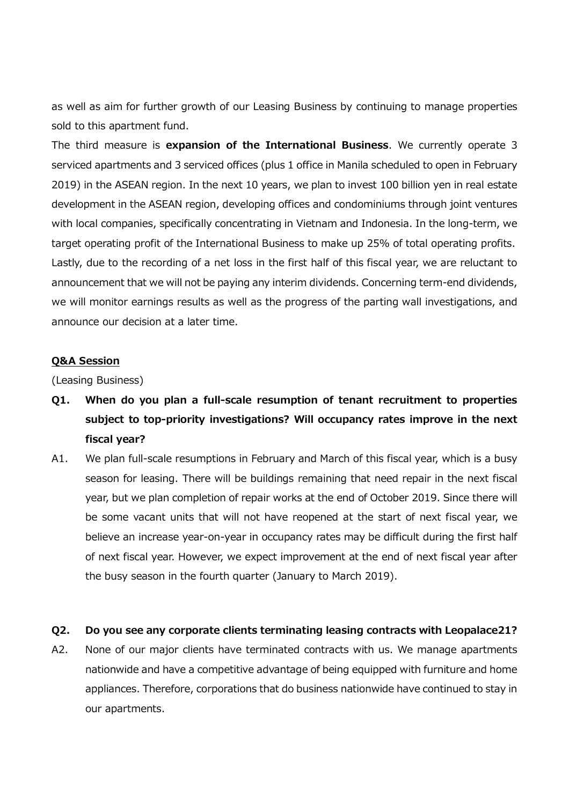as well as aim for further growth of our Leasing Business by continuing to manage properties sold to this apartment fund.

The third measure is expansion of the International Business. We currently operate 3 serviced apartments and 3 serviced offices (plus 1 office in Manila scheduled to open in February 2019) in the ASEAN region. In the next 10 years, we plan to invest 100 billion yen in real estate development in the ASEAN region, developing offices and condominiums through joint ventures with local companies, specifically concentrating in Vietnam and Indonesia. In the long-term, we target operating profit of the International Business to make up 25% of total operating profits. Lastly, due to the recording of a net loss in the first half of this fiscal year, we are reluctant to announcement that we will not be paying any interim dividends. Concerning term-end dividends, we will monitor earnings results as well as the progress of the parting wall investigations, and announce our decision at a later time.

## Q&A Session

(Leasing Business)

- Q1. When do you plan a full-scale resumption of tenant recruitment to properties subject to top-priority investigations? Will occupancy rates improve in the next fiscal year?
- A1. We plan full-scale resumptions in February and March of this fiscal year, which is a busy season for leasing. There will be buildings remaining that need repair in the next fiscal year, but we plan completion of repair works at the end of October 2019. Since there will be some vacant units that will not have reopened at the start of next fiscal year, we believe an increase year-on-year in occupancy rates may be difficult during the first half of next fiscal year. However, we expect improvement at the end of next fiscal year after the busy season in the fourth quarter (January to March 2019).

## Q2. Do you see any corporate clients terminating leasing contracts with Leopalace21?

A2. None of our major clients have terminated contracts with us. We manage apartments nationwide and have a competitive advantage of being equipped with furniture and home appliances. Therefore, corporations that do business nationwide have continued to stay in our apartments.